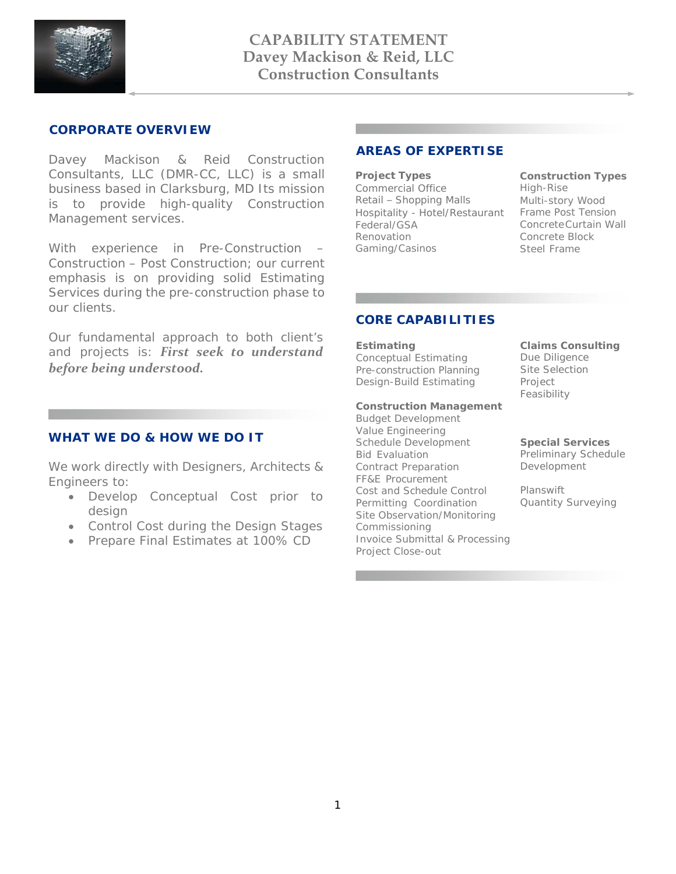

## **CORPORATE OVERVIEW**

Davey Mackison & Reid Construction Consultants, LLC (DMR-CC, LLC) is a small business based in Clarksburg, MD Its mission is to provide high-quality Construction Management services.

With experience in Pre-Construction – Construction – Post Construction; our current emphasis is on providing solid Estimating Services during the pre-construction phase to our clients.

Our fundamental approach to both client's and projects is: *First seek to understand before being understood.*

## **WHAT WE DO & HOW WE DO IT**

We work directly with Designers, Architects & Engineers to:

- Develop Conceptual Cost prior to design
- Control Cost during the Design Stages
- Prepare Final Estimates at 100% CD

## **AREAS OF EXPERTISE**

**Project Types** Commercial Office Retail – Shopping Malls Hospitality - Hotel/Restaurant Federal/GSA Renovation Gaming/Casinos

**Construction Types** High-Rise Multi-story Wood Frame Post Tension Concrete Curtain Wall Concrete Block Steel Frame

## **CORE CAPABILITIES**

#### **Estimating**

Conceptual Estimating Pre-construction Planning Design-Build Estimating

#### **Construction Management**

Budget Development Value Engineering Schedule Development Bid Evaluation Contract Preparation FF&E Procurement Cost and Schedule Control Permitting Coordination Site Observation/Monitoring Commissioning Invoice Submittal & Processing Project Close-out

**Claims Consulting**  Due Diligence Site Selection Project Feasibility

**Special Services**  Preliminary Schedule Development

Planswift Quantity Surveying